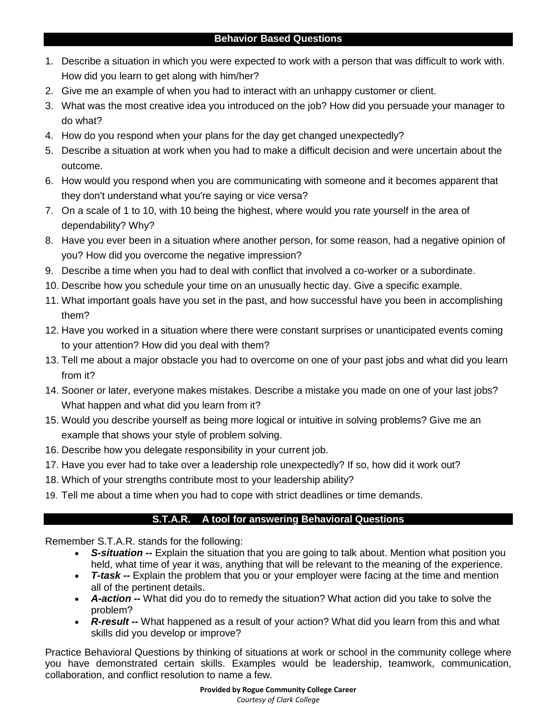- 1. Describe a situation in which you were expected to work with a person that was difficult to work with. How did you learn to get along with him/her?
- 2. Give me an example of when you had to interact with an unhappy customer or client.
- 3. What was the most creative idea you introduced on the job? How did you persuade your manager to do what?
- 4. How do you respond when your plans for the day get changed unexpectedly?
- 5. Describe a situation at work when you had to make a difficult decision and were uncertain about the outcome.
- 6. How would you respond when you are communicating with someone and it becomes apparent that they don't understand what you're saying or vice versa?
- 7. On a scale of 1 to 10, with 10 being the highest, where would you rate yourself in the area of dependability? Why?
- 8. Have you ever been in a situation where another person, for some reason, had a negative opinion of you? How did you overcome the negative impression?
- 9. Describe a time when you had to deal with conflict that involved a co-worker or a subordinate.
- 10. Describe how you schedule your time on an unusually hectic day. Give a specific example.
- 11. What important goals have you set in the past, and how successful have you been in accomplishing them?
- 12. Have you worked in a situation where there were constant surprises or unanticipated events coming to your attention? How did you deal with them?
- 13. Tell me about a major obstacle you had to overcome on one of your past jobs and what did you learn from it?
- 14. Sooner or later, everyone makes mistakes. Describe a mistake you made on one of your last jobs? What happen and what did you learn from it?
- 15. Would you describe yourself as being more logical or intuitive in solving problems? Give me an example that shows your style of problem solving.
- 16. Describe how you delegate responsibility in your current job.
- 17. Have you ever had to take over a leadership role unexpectedly? If so, how did it work out?
- 18. Which of your strengths contribute most to your leadership ability?
- 19. Tell me about a time when you had to cope with strict deadlines or time demands.

## **– S.T.A.R. A tool for answering Behavioral Questions**

Remember S.T.A.R. stands for the following:

- *S-situation --* Explain the situation that you are going to talk about. Mention what position you held, what time of year it was, anything that will be relevant to the meaning of the experience.
- T-task -- Explain the problem that you or your employer were facing at the time and mention all of the pertinent details.
- *A-action --* What did you do to remedy the situation? What action did you take to solve the problem?
- *R-result --* What happened as a result of your action? What did you learn from this and what skills did you develop or improve?

 Practice Behavioral Questions by thinking of situations at work or school in the community college where collaboration, and conflict resolution to name a few. you have demonstrated certain skills. Examples would be leadership, teamwork, communication,